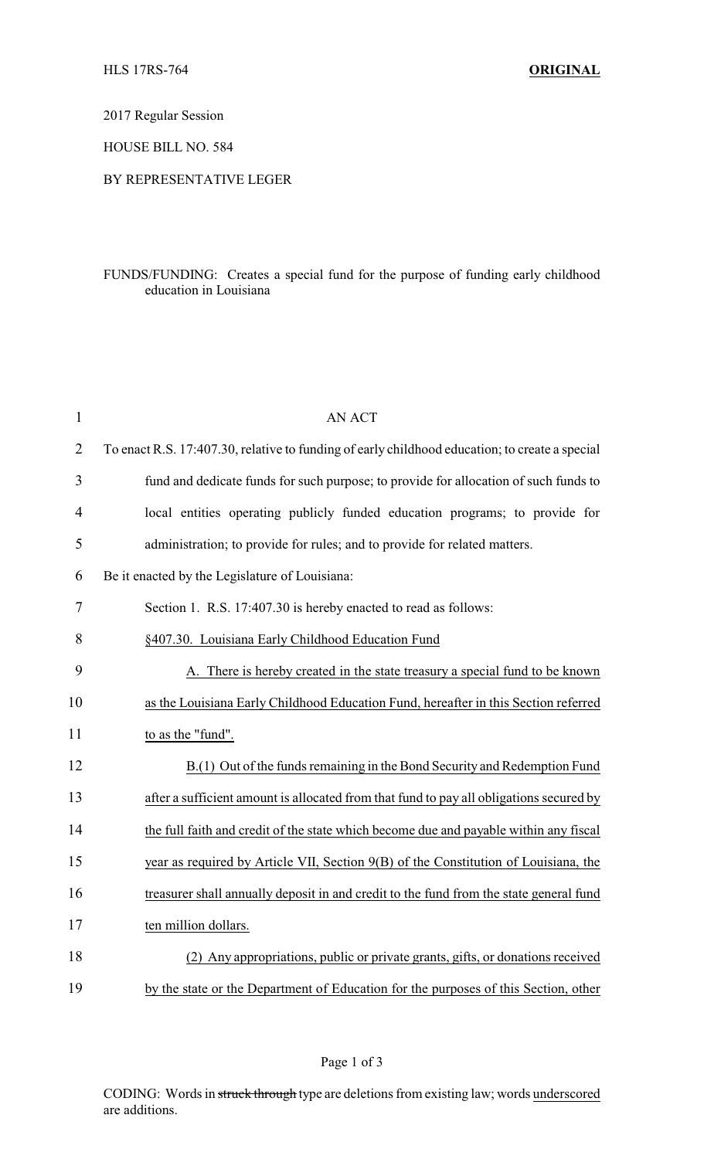2017 Regular Session

HOUSE BILL NO. 584

## BY REPRESENTATIVE LEGER

## FUNDS/FUNDING: Creates a special fund for the purpose of funding early childhood education in Louisiana

| $\mathbf{1}$   | <b>AN ACT</b>                                                                                  |
|----------------|------------------------------------------------------------------------------------------------|
| $\overline{2}$ | To enact R.S. 17:407.30, relative to funding of early childhood education; to create a special |
| 3              | fund and dedicate funds for such purpose; to provide for allocation of such funds to           |
| $\overline{4}$ | local entities operating publicly funded education programs; to provide for                    |
| 5              | administration; to provide for rules; and to provide for related matters.                      |
| 6              | Be it enacted by the Legislature of Louisiana:                                                 |
| 7              | Section 1. R.S. 17:407.30 is hereby enacted to read as follows:                                |
| 8              | §407.30. Louisiana Early Childhood Education Fund                                              |
| 9              | A. There is hereby created in the state treasury a special fund to be known                    |
| 10             | as the Louisiana Early Childhood Education Fund, hereafter in this Section referred            |
| 11             | to as the "fund".                                                                              |
| 12             | B.(1) Out of the funds remaining in the Bond Security and Redemption Fund                      |
| 13             | after a sufficient amount is allocated from that fund to pay all obligations secured by        |
| 14             | the full faith and credit of the state which become due and payable within any fiscal          |
| 15             | year as required by Article VII, Section 9(B) of the Constitution of Louisiana, the            |
| 16             | treasurer shall annually deposit in and credit to the fund from the state general fund         |
| 17             | ten million dollars.                                                                           |
| 18             | (2) Any appropriations, public or private grants, gifts, or donations received                 |
| 19             | by the state or the Department of Education for the purposes of this Section, other            |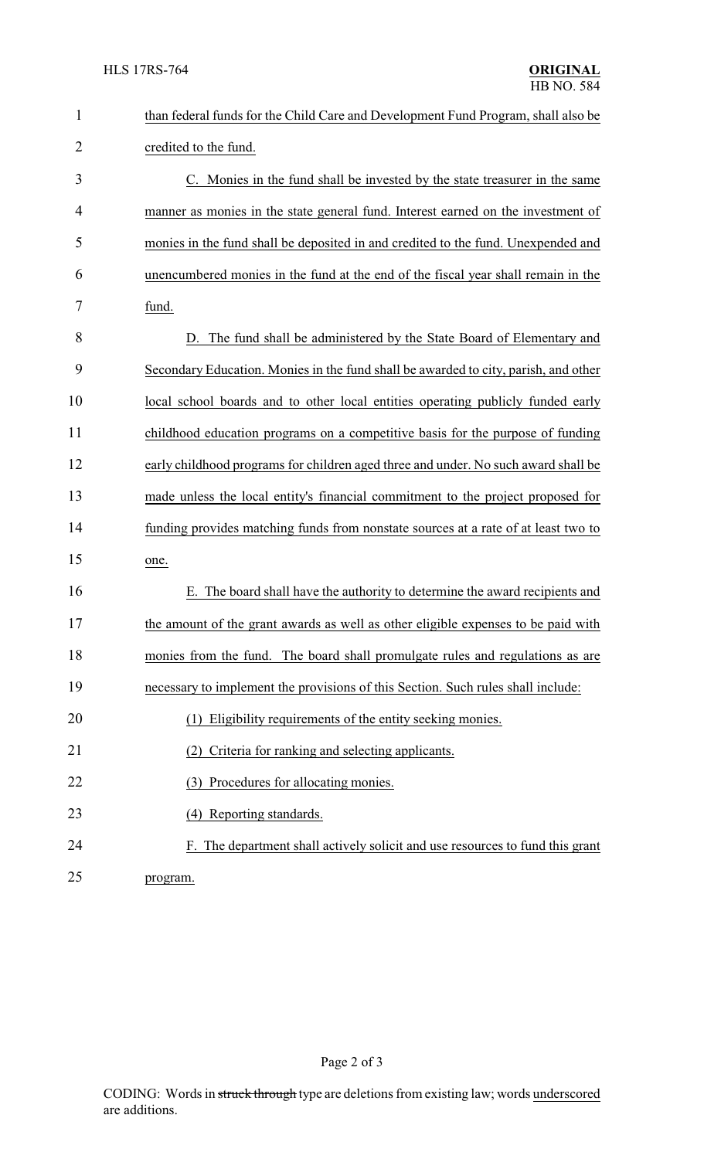| $\mathbf{1}$ | than federal funds for the Child Care and Development Fund Program, shall also be   |
|--------------|-------------------------------------------------------------------------------------|
| 2            | credited to the fund.                                                               |
| 3            | C. Monies in the fund shall be invested by the state treasurer in the same          |
| 4            | manner as monies in the state general fund. Interest earned on the investment of    |
| 5            | monies in the fund shall be deposited in and credited to the fund. Unexpended and   |
| 6            | unencumbered monies in the fund at the end of the fiscal year shall remain in the   |
| 7            | fund.                                                                               |
| 8            | D. The fund shall be administered by the State Board of Elementary and              |
| 9            | Secondary Education. Monies in the fund shall be awarded to city, parish, and other |
| 10           | local school boards and to other local entities operating publicly funded early     |
| 11           | childhood education programs on a competitive basis for the purpose of funding      |
| 12           | early childhood programs for children aged three and under. No such award shall be  |
| 13           | made unless the local entity's financial commitment to the project proposed for     |
| 14           | funding provides matching funds from nonstate sources at a rate of at least two to  |
| 15           | one.                                                                                |
| 16           | E. The board shall have the authority to determine the award recipients and         |
| 17           | the amount of the grant awards as well as other eligible expenses to be paid with   |
| 18           | monies from the fund. The board shall promulgate rules and regulations as are       |
| 19           | necessary to implement the provisions of this Section. Such rules shall include:    |
| 20           | (1) Eligibility requirements of the entity seeking monies.                          |
| 21           | Criteria for ranking and selecting applicants.<br>(2)                               |
| 22           | Procedures for allocating monies.<br>(3)                                            |
| 23           | (4) Reporting standards.                                                            |
| 24           | F. The department shall actively solicit and use resources to fund this grant       |
| 25           | program.                                                                            |